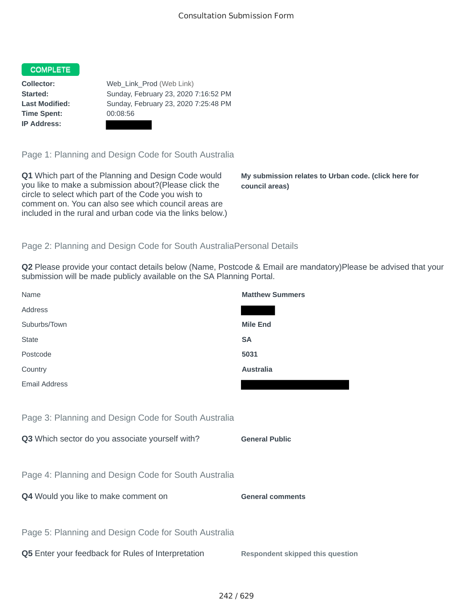## COMPLETE

**Time Spent:** 00:08:56 **IP Address:**

**Collector:** Web\_Link\_Prod (Web Link) **Started:** Sunday, February 23, 2020 7:16:52 PM **Last Modified:** Sunday, February 23, 2020 7:25:48 PM

Page 1: Planning and Design Code for South Australia

**Q1** Which part of the Planning and Design Code would you like to make a submission about?(Please click the circle to select which part of the Code you wish to comment on. You can also see which council areas are included in the rural and urban code via the links below.)

**My submission relates to Urban code. (click here for council areas)**

## Page 2: Planning and Design Code for South AustraliaPersonal Details

**Q2** Please provide your contact details below (Name, Postcode & Email are mandatory)Please be advised that your submission will be made publicly available on the SA Planning Portal.

| Name                                                 | <b>Matthew Summers</b>                  |
|------------------------------------------------------|-----------------------------------------|
| Address                                              |                                         |
| Suburbs/Town                                         | <b>Mile End</b>                         |
| <b>State</b>                                         | <b>SA</b>                               |
| Postcode                                             | 5031                                    |
| Country                                              | <b>Australia</b>                        |
| <b>Email Address</b>                                 |                                         |
|                                                      |                                         |
| Page 3: Planning and Design Code for South Australia |                                         |
| Q3 Which sector do you associate yourself with?      | <b>General Public</b>                   |
|                                                      |                                         |
| Page 4: Planning and Design Code for South Australia |                                         |
| Q4 Would you like to make comment on                 | <b>General comments</b>                 |
|                                                      |                                         |
| Page 5: Planning and Design Code for South Australia |                                         |
| Q5 Enter your feedback for Rules of Interpretation   | <b>Respondent skipped this question</b> |
|                                                      |                                         |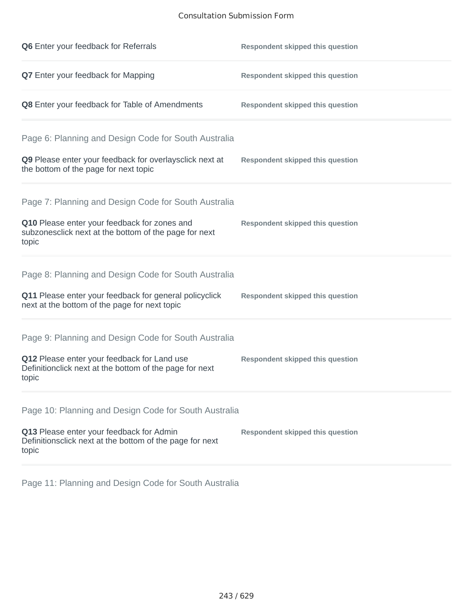## Consultation Submission Form

| Q6 Enter your feedback for Referrals                                                                            | <b>Respondent skipped this question</b> |
|-----------------------------------------------------------------------------------------------------------------|-----------------------------------------|
| Q7 Enter your feedback for Mapping                                                                              | <b>Respondent skipped this question</b> |
| Q8 Enter your feedback for Table of Amendments                                                                  | <b>Respondent skipped this question</b> |
| Page 6: Planning and Design Code for South Australia                                                            |                                         |
| Q9 Please enter your feedback for overlaysclick next at<br>the bottom of the page for next topic                | <b>Respondent skipped this question</b> |
| Page 7: Planning and Design Code for South Australia                                                            |                                         |
| Q10 Please enter your feedback for zones and<br>subzonesclick next at the bottom of the page for next<br>topic  | <b>Respondent skipped this question</b> |
| Page 8: Planning and Design Code for South Australia                                                            |                                         |
| Q11 Please enter your feedback for general policyclick<br>next at the bottom of the page for next topic         | <b>Respondent skipped this question</b> |
| Page 9: Planning and Design Code for South Australia                                                            |                                         |
| Q12 Please enter your feedback for Land use<br>Definitionclick next at the bottom of the page for next<br>topic | <b>Respondent skipped this question</b> |
| Page 10: Planning and Design Code for South Australia                                                           |                                         |
| Q13 Please enter your feedback for Admin<br>Definitionsclick next at the bottom of the page for next<br>topic   | <b>Respondent skipped this question</b> |

Page 11: Planning and Design Code for South Australia